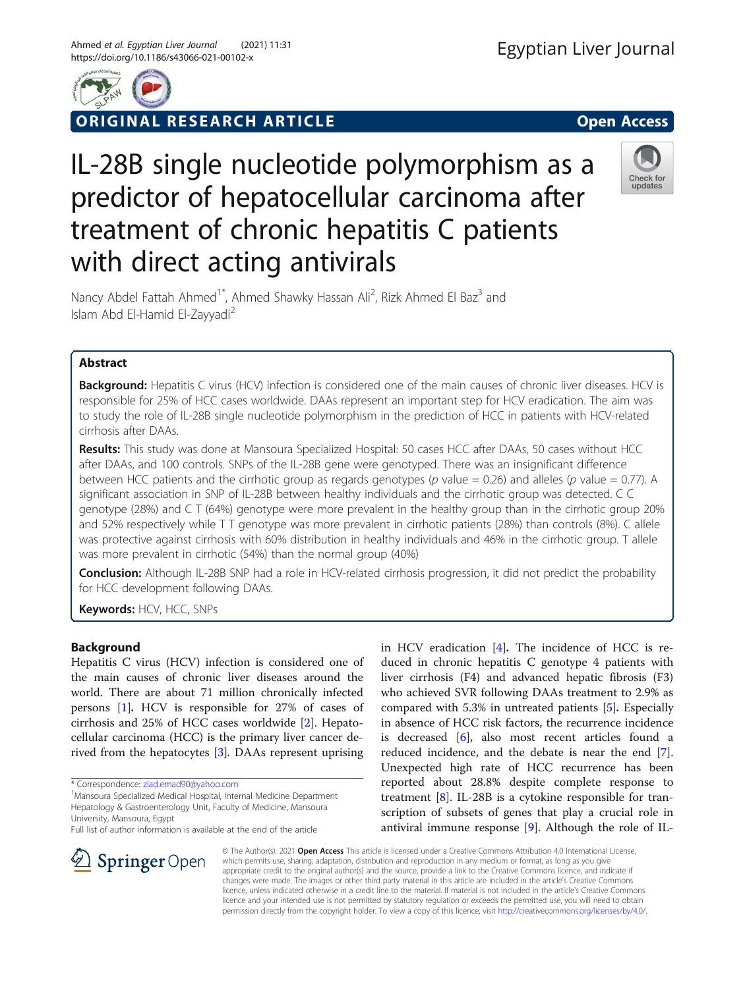ORIGINAL RESEARCH ARTICLE **Solution Contract Contract Contract Contract Contract Contract Contract Contract Contract Contract Contract Contract Contract Contract Contract Contract Contract Contract Contract Contract Contra** 

# IL-28B single nucleotide polymorphism as a predictor of hepatocellular carcinoma after treatment of chronic hepatitis C patients with direct acting antivirals



Nancy Abdel Fattah Ahmed<sup>1\*</sup>, Ahmed Shawky Hassan Ali<sup>2</sup>, Rizk Ahmed El Baz<sup>3</sup> and Islam Abd El-Hamid El-Zayyadi<sup>2</sup>

## Abstract

Background: Hepatitis C virus (HCV) infection is considered one of the main causes of chronic liver diseases. HCV is responsible for 25% of HCC cases worldwide. DAAs represent an important step for HCV eradication. The aim was to study the role of IL-28B single nucleotide polymorphism in the prediction of HCC in patients with HCV-related cirrhosis after DAAs.

Results: This study was done at Mansoura Specialized Hospital: 50 cases HCC after DAAs, 50 cases without HCC after DAAs, and 100 controls. SNPs of the IL-28B gene were genotyped. There was an insignificant difference between HCC patients and the cirrhotic group as regards genotypes ( $p$  value = 0.26) and alleles ( $p$  value = 0.77). A significant association in SNP of IL-28B between healthy individuals and the cirrhotic group was detected. C C genotype (28%) and C T (64%) genotype were more prevalent in the healthy group than in the cirrhotic group 20% and 52% respectively while T T genotype was more prevalent in cirrhotic patients (28%) than controls (8%). C allele was protective against cirrhosis with 60% distribution in healthy individuals and 46% in the cirrhotic group. T allele was more prevalent in cirrhotic (54%) than the normal group (40%)

Conclusion: Although IL-28B SNP had a role in HCV-related cirrhosis progression, it did not predict the probability for HCC development following DAAs.

Keywords: HCV, HCC, SNPs

## Background

Hepatitis C virus (HCV) infection is considered one of the main causes of chronic liver diseases around the world. There are about 71 million chronically infected persons [[1\]](#page-5-0). HCV is responsible for 27% of cases of cirrhosis and 25% of HCC cases worldwide [\[2](#page-5-0)]. Hepatocellular carcinoma (HCC) is the primary liver cancer derived from the hepatocytes [\[3\]](#page-5-0). DAAs represent uprising

Mansoura Specialized Medical Hospital, Internal Medicine Department Hepatology & Gastroenterology Unit, Faculty of Medicine, Mansoura University, Mansoura, Egypt

in HCV eradication [[4\]](#page-5-0). The incidence of HCC is reduced in chronic hepatitis C genotype 4 patients with liver cirrhosis (F4) and advanced hepatic fibrosis (F3) who achieved SVR following DAAs treatment to 2.9% as compared with 5.3% in untreated patients [[5\]](#page-5-0). Especially in absence of HCC risk factors, the recurrence incidence is decreased [[6\]](#page-5-0), also most recent articles found a reduced incidence, and the debate is near the end [\[7](#page-5-0)]. Unexpected high rate of HCC recurrence has been reported about 28.8% despite complete response to treatment [[8](#page-5-0)]. IL-28B is a cytokine responsible for transcription of subsets of genes that play a crucial role in antiviral immune response [\[9](#page-5-0)]. Although the role of IL-



© The Author(s). 2021 Open Access This article is licensed under a Creative Commons Attribution 4.0 International License, which permits use, sharing, adaptation, distribution and reproduction in any medium or format, as long as you give appropriate credit to the original author(s) and the source, provide a link to the Creative Commons licence, and indicate if changes were made. The images or other third party material in this article are included in the article's Creative Commons licence, unless indicated otherwise in a credit line to the material. If material is not included in the article's Creative Commons licence and your intended use is not permitted by statutory regulation or exceeds the permitted use, you will need to obtain permission directly from the copyright holder. To view a copy of this licence, visit <http://creativecommons.org/licenses/by/4.0/>.

<sup>\*</sup> Correspondence: [ziad.emad90@yahoo.com](mailto:ziad.emad90@yahoo.com) <sup>1</sup>

Full list of author information is available at the end of the article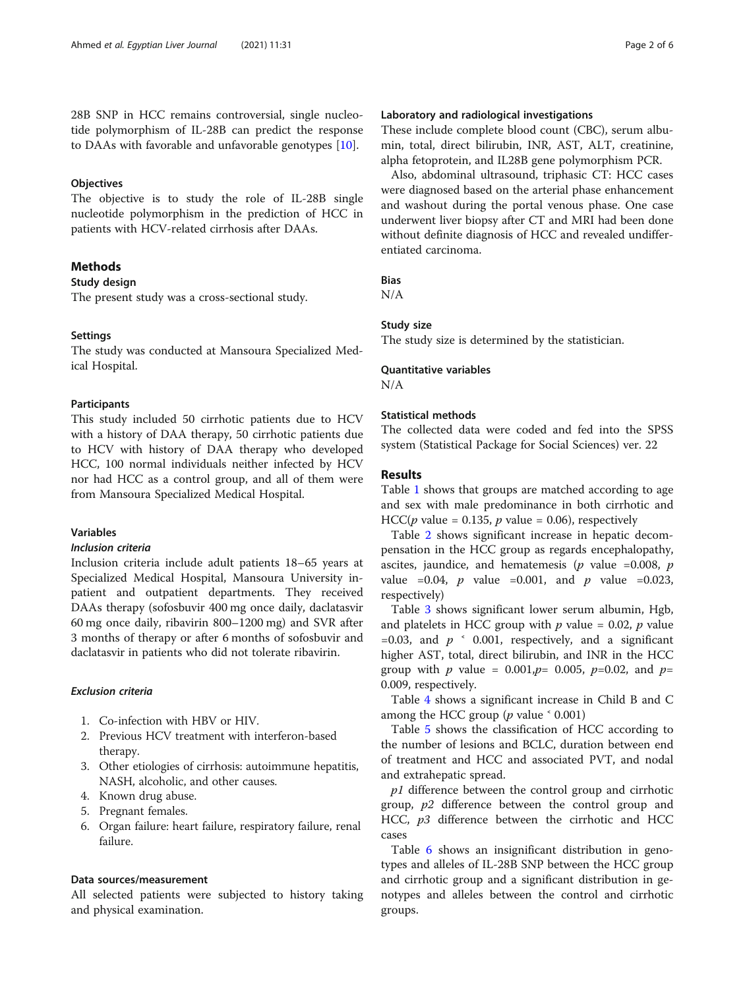28B SNP in HCC remains controversial, single nucleotide polymorphism of IL-28B can predict the response to DAAs with favorable and unfavorable genotypes [[10\]](#page-5-0).

## **Objectives**

The objective is to study the role of IL-28B single nucleotide polymorphism in the prediction of HCC in patients with HCV-related cirrhosis after DAAs.

## Methods

## Study design

The present study was a cross-sectional study.

## **Settings**

The study was conducted at Mansoura Specialized Medical Hospital.

## Participants

This study included 50 cirrhotic patients due to HCV with a history of DAA therapy, 50 cirrhotic patients due to HCV with history of DAA therapy who developed HCC, 100 normal individuals neither infected by HCV nor had HCC as a control group, and all of them were from Mansoura Specialized Medical Hospital.

## Variables

## Inclusion criteria

Inclusion criteria include adult patients 18–65 years at Specialized Medical Hospital, Mansoura University inpatient and outpatient departments. They received DAAs therapy (sofosbuvir 400 mg once daily, daclatasvir 60 mg once daily, ribavirin 800–1200 mg) and SVR after 3 months of therapy or after 6 months of sofosbuvir and daclatasvir in patients who did not tolerate ribavirin.

## Exclusion criteria

- 1. Co-infection with HBV or HIV.
- 2. Previous HCV treatment with interferon-based therapy.
- 3. Other etiologies of cirrhosis: autoimmune hepatitis, NASH, alcoholic, and other causes.
- 4. Known drug abuse.
- 5. Pregnant females.
- 6. Organ failure: heart failure, respiratory failure, renal failure.

## Data sources/measurement

All selected patients were subjected to history taking and physical examination.

## Laboratory and radiological investigations

These include complete blood count (CBC), serum albumin, total, direct bilirubin, INR, AST, ALT, creatinine, alpha fetoprotein, and IL28B gene polymorphism PCR.

Also, abdominal ultrasound, triphasic CT: HCC cases were diagnosed based on the arterial phase enhancement and washout during the portal venous phase. One case underwent liver biopsy after CT and MRI had been done without definite diagnosis of HCC and revealed undifferentiated carcinoma.

## Bias

N/A

## Study size

The study size is determined by the statistician.

# Quantitative variables

N/A

## Statistical methods

The collected data were coded and fed into the SPSS system (Statistical Package for Social Sciences) ver. 22

## Results

Table [1](#page-2-0) shows that groups are matched according to age and sex with male predominance in both cirrhotic and HCC(*p* value = 0.135, *p* value = 0.06), respectively

Table [2](#page-2-0) shows significant increase in hepatic decompensation in the HCC group as regards encephalopathy, ascites, jaundice, and hematemesis ( $p$  value =0.008,  $p$ value =0.04, *p* value =0.001, and *p* value =0.023, respectively)

Table [3](#page-3-0) shows significant lower serum albumin, Hgb, and platelets in HCC group with  $p$  value = 0.02,  $p$  value =0.03, and  $p \simeq 0.001$ , respectively, and a significant higher AST, total, direct bilirubin, and INR in the HCC group with *p* value =  $0.001, p= 0.005, p=0.02,$  and  $p=$ 0.009, respectively.

Table [4](#page-3-0) shows a significant increase in Child B and C among the HCC group ( $p$  value  $\leq 0.001$ )

Table [5](#page-3-0) shows the classification of HCC according to the number of lesions and BCLC, duration between end of treatment and HCC and associated PVT, and nodal and extrahepatic spread.

 $p1$  difference between the control group and cirrhotic group, p2 difference between the control group and HCC,  $p3$  difference between the cirrhotic and HCC cases

Table [6](#page-4-0) shows an insignificant distribution in genotypes and alleles of IL-28B SNP between the HCC group and cirrhotic group and a significant distribution in genotypes and alleles between the control and cirrhotic groups.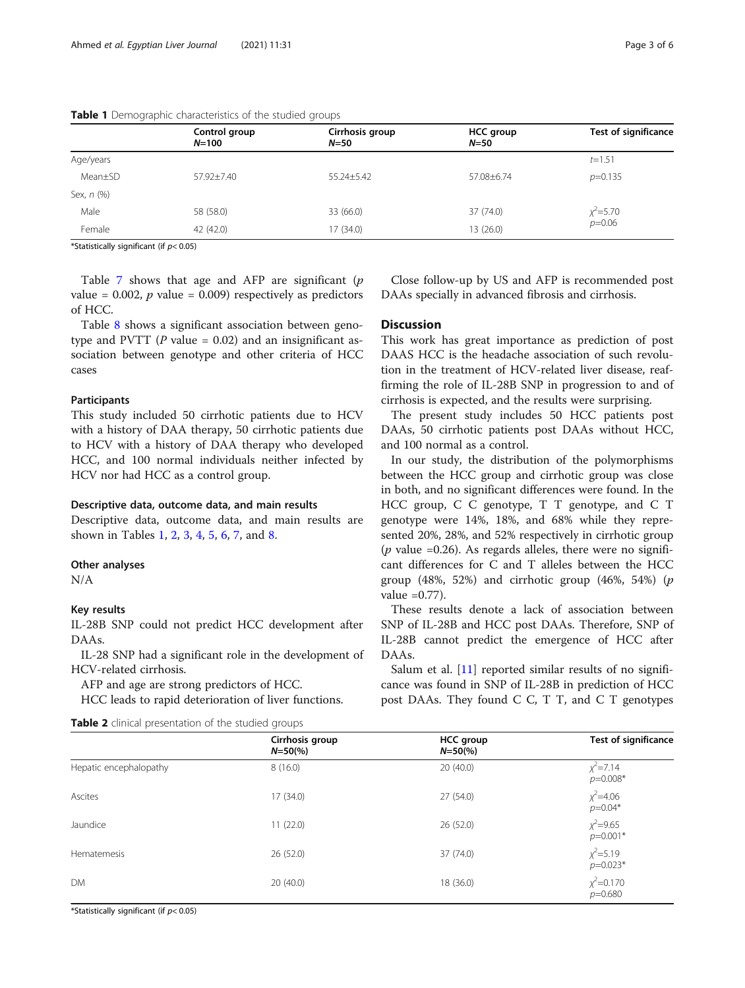|            | Control group<br>$N = 100$ | Cirrhosis group<br>$N=50$ | <b>HCC</b> group<br>$N=50$ | <b>Test of significance</b> |
|------------|----------------------------|---------------------------|----------------------------|-----------------------------|
| Age/years  |                            |                           |                            | $t = 1.51$                  |
| Mean±SD    | 57.92±7.40                 | $55.24 \pm 5.42$          | 57.08±6.74                 | $p=0.135$                   |
| Sex, n (%) |                            |                           |                            |                             |
| Male       | 58 (58.0)                  | 33 (66.0)                 | 37 (74.0)                  | $x^2$ = 5.70                |
| Female     | 42 (42.0)                  | 17 (34.0)                 | 13 (26.0)                  | $p=0.06$                    |

## <span id="page-2-0"></span>Table 1 Demographic characteristics of the studied groups

\*Statistically significant (if  $p$  < 0.05)

Table [7](#page-4-0) shows that age and AFP are significant  $(p)$ value =  $0.002$ , *p* value =  $0.009$ ) respectively as predictors of HCC.

Table [8](#page-4-0) shows a significant association between genotype and PVTT ( $P$  value = 0.02) and an insignificant association between genotype and other criteria of HCC cases

## Participants

This study included 50 cirrhotic patients due to HCV with a history of DAA therapy, 50 cirrhotic patients due to HCV with a history of DAA therapy who developed HCC, and 100 normal individuals neither infected by HCV nor had HCC as a control group.

## Descriptive data, outcome data, and main results

Descriptive data, outcome data, and main results are shown in Tables 1, 2, [3,](#page-3-0) [4,](#page-3-0) [5,](#page-3-0) [6,](#page-4-0) [7,](#page-4-0) and [8.](#page-4-0)

## Other analyses

N/A

#### Key results

IL-28B SNP could not predict HCC development after DAAs.

IL-28 SNP had a significant role in the development of HCV-related cirrhosis.

AFP and age are strong predictors of HCC.

HCC leads to rapid deterioration of liver functions.

|  | Table 2 clinical presentation of the studied groups |  |  |
|--|-----------------------------------------------------|--|--|
|  |                                                     |  |  |

Close follow-up by US and AFP is recommended post DAAs specially in advanced fibrosis and cirrhosis.

## **Discussion**

This work has great importance as prediction of post DAAS HCC is the headache association of such revolution in the treatment of HCV-related liver disease, reaffirming the role of IL-28B SNP in progression to and of cirrhosis is expected, and the results were surprising.

The present study includes 50 HCC patients post DAAs, 50 cirrhotic patients post DAAs without HCC, and 100 normal as a control.

In our study, the distribution of the polymorphisms between the HCC group and cirrhotic group was close in both, and no significant differences were found. In the HCC group, C C genotype, T T genotype, and C T genotype were 14%, 18%, and 68% while they represented 20%, 28%, and 52% respectively in cirrhotic group ( $p$  value =0.26). As regards alleles, there were no significant differences for C and T alleles between the HCC group (48%, 52%) and cirrhotic group (46%, 54%) ( $p$ value  $=0.77$ ).

These results denote a lack of association between SNP of IL-28B and HCC post DAAs. Therefore, SNP of IL-28B cannot predict the emergence of HCC after DAAs.

Salum et al. [[11](#page-5-0)] reported similar results of no significance was found in SNP of IL-28B in prediction of HCC post DAAs. They found C C, T T, and C T genotypes

|                        | Cirrhosis group<br>$N = 50\frac{6}{6}$ | <b>HCC</b> group<br>$N = 50\frac{6}{6}$ | <b>Test of significance</b>   |
|------------------------|----------------------------------------|-----------------------------------------|-------------------------------|
| Hepatic encephalopathy | 8(16.0)                                | 20(40.0)                                | $x^2$ = 7.14<br>$p=0.008*$    |
| Ascites                | 17(34.0)                               | 27(54.0)                                | $x^2 = 4.06$<br>$p=0.04*$     |
| Jaundice               | 11(22.0)                               | 26 (52.0)                               | $x^2 = 9.65$<br>$p=0.001*$    |
| Hematemesis            | 26 (52.0)                              | 37 (74.0)                               | $\chi^2 = 5.19$<br>$p=0.023*$ |
| <b>DM</b>              | 20(40.0)                               | 18 (36.0)                               | $x^2$ =0.170<br>$p=0.680$     |

\*Statistically significant (if  $p$  < 0.05)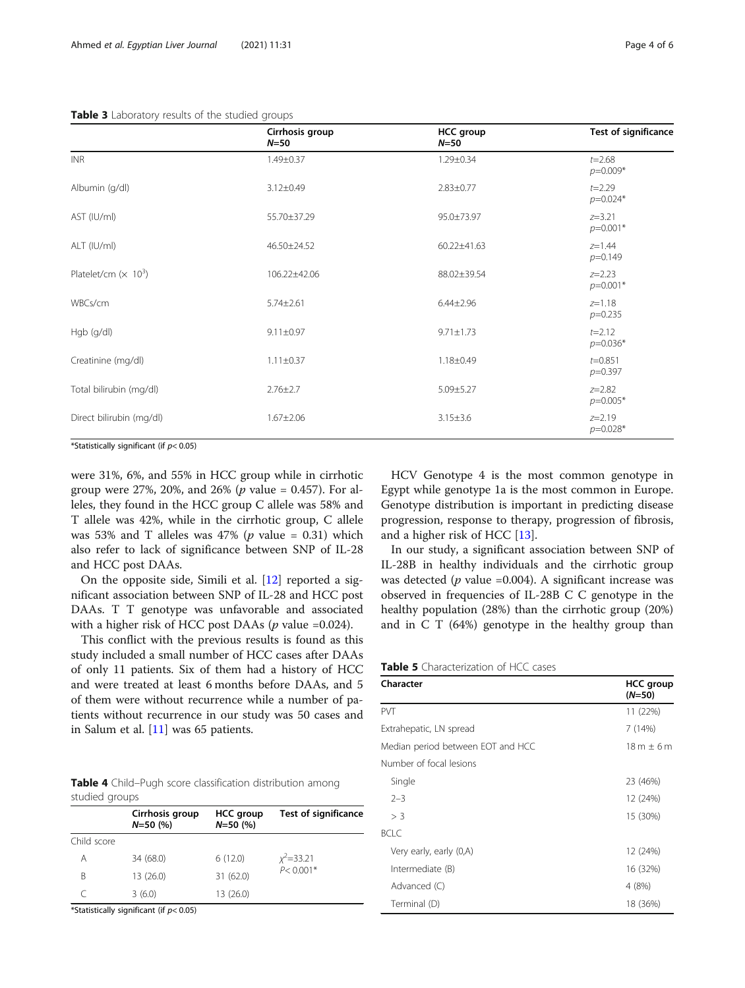## <span id="page-3-0"></span>Table 3 Laboratory results of the studied groups

|                          | Cirrhosis group<br>$N=50$ | <b>HCC</b> group<br>$N = 50$ | Test of significance     |
|--------------------------|---------------------------|------------------------------|--------------------------|
| <b>INR</b>               | $1.49 \pm 0.37$           | $1.29 \pm 0.34$              | $t = 2.68$<br>$p=0.009*$ |
| Albumin (g/dl)           | $3.12 \pm 0.49$           | $2.83 \pm 0.77$              | $t = 2.29$<br>$p=0.024*$ |
| AST (IU/ml)              | 55.70±37.29               | 95.0±73.97                   | $z = 3.21$<br>$p=0.001*$ |
| ALT (IU/ml)              | 46.50±24.52               | 60.22±41.63                  | $z=1.44$<br>$p=0.149$    |
| Platelet/cm $(x 10^3)$   | 106.22±42.06              | 88.02±39.54                  | $z=2.23$<br>$p=0.001*$   |
| WBCs/cm                  | $5.74 \pm 2.61$           | $6.44 \pm 2.96$              | $z=1.18$<br>$p=0.235$    |
| Hgb (g/dl)               | $9.11 \pm 0.97$           | $9.71 \pm 1.73$              | $t = 2.12$<br>$p=0.036*$ |
| Creatinine (mg/dl)       | $1.11 \pm 0.37$           | $1.18 \pm 0.49$              | $t = 0.851$<br>$p=0.397$ |
| Total bilirubin (mg/dl)  | $2.76 \pm 2.7$            | $5.09 \pm 5.27$              | $z = 2.82$<br>$p=0.005*$ |
| Direct bilirubin (mg/dl) | $1.67 \pm 2.06$           | $3.15 \pm 3.6$               | $z = 2.19$<br>$p=0.028*$ |
|                          |                           |                              |                          |

\*Statistically significant (if  $p$  < 0.05)

were 31%, 6%, and 55% in HCC group while in cirrhotic group were 27%, 20%, and 26% ( $p$  value = 0.457). For alleles, they found in the HCC group C allele was 58% and T allele was 42%, while in the cirrhotic group, C allele was 53% and T alleles was 47% ( $p$  value = 0.31) which also refer to lack of significance between SNP of IL-28 and HCC post DAAs.

On the opposite side, Simili et al. [[12](#page-5-0)] reported a significant association between SNP of IL-28 and HCC post DAAs. T T genotype was unfavorable and associated with a higher risk of HCC post DAAs ( $p$  value =0.024).

This conflict with the previous results is found as this study included a small number of HCC cases after DAAs of only 11 patients. Six of them had a history of HCC and were treated at least 6 months before DAAs, and 5 of them were without recurrence while a number of patients without recurrence in our study was 50 cases and in Salum et al. [[11\]](#page-5-0) was 65 patients.

Table 4 Child–Pugh score classification distribution among studied groups

|             | Cirrhosis group<br>$N = 50$ (%) | <b>HCC</b> group<br>$N = 50$ (%) | Test of significance |
|-------------|---------------------------------|----------------------------------|----------------------|
| Child score |                                 |                                  |                      |
| Α           | 34 (68.0)                       | 6(12.0)                          | $x^2 = 33.21$        |
| R           | 13 (26.0)                       | 31 (62.0)                        | $P < 0.001*$         |
|             | 3(6.0)                          | 13 (26.0)                        |                      |

\*Statistically significant (if  $p$  < 0.05)

HCV Genotype 4 is the most common genotype in Egypt while genotype 1a is the most common in Europe. Genotype distribution is important in predicting disease progression, response to therapy, progression of fibrosis, and a higher risk of HCC [[13\]](#page-5-0).

In our study, a significant association between SNP of IL-28B in healthy individuals and the cirrhotic group was detected ( $p$  value =0.004). A significant increase was observed in frequencies of IL-28B C C genotype in the healthy population (28%) than the cirrhotic group (20%) and in C T (64%) genotype in the healthy group than

| <b>Table 5</b> Characterization of HCC cases |  |
|----------------------------------------------|--|
|----------------------------------------------|--|

| Character                         | <b>HCC</b> group<br>$(N=50)$ |  |
|-----------------------------------|------------------------------|--|
| <b>PVT</b>                        | 11 (22%)                     |  |
| Extrahepatic, LN spread           | 7(14%)                       |  |
| Median period between EOT and HCC | $18m \pm 6m$                 |  |
| Number of focal lesions           |                              |  |
| Single                            | 23 (46%)                     |  |
| $2 - 3$                           | 12 (24%)                     |  |
| $>$ 3                             | 15 (30%)                     |  |
| BCI C                             |                              |  |
| Very early, early (0,A)           | 12 (24%)                     |  |
| Intermediate (B)                  | 16 (32%)                     |  |
| Advanced (C)                      | 4 (8%)                       |  |
| Terminal (D)                      | 18 (36%)                     |  |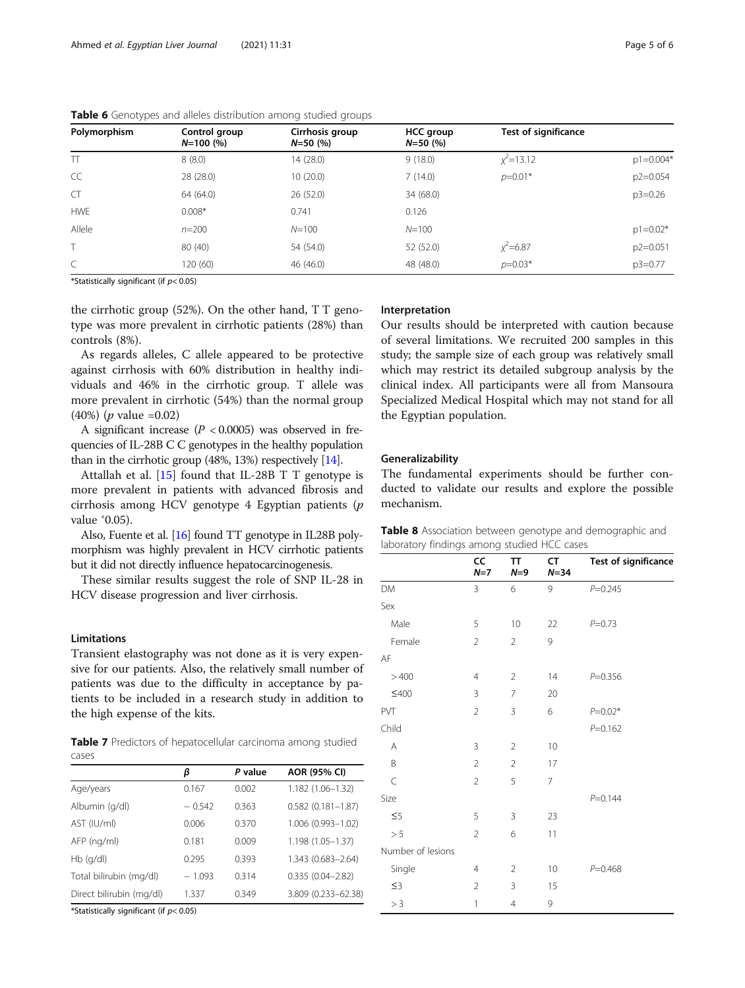| Polymorphism | Control group<br>$N=100(%)$ | Cirrhosis group<br>$N = 50$ (%) | <b>HCC group</b><br>$N = 50$ (%) | <b>Test of significance</b> |               |
|--------------|-----------------------------|---------------------------------|----------------------------------|-----------------------------|---------------|
| $\top$       | 8(8.0)                      | 14 (28.0)                       | 9(18.0)                          | $x^2$ = 13.12               | $p1 = 0.004*$ |
| CC           | 28(28.0)                    | 10(20.0)                        | 7(14.0)                          | $p=0.01*$                   | $p2 = 0.054$  |
| <b>CT</b>    | 64 (64.0)                   | 26(52.0)                        | 34 (68.0)                        |                             | $p3=0.26$     |
| <b>HWE</b>   | $0.008*$                    | 0.741                           | 0.126                            |                             |               |
| Allele       | $n = 200$                   | $N = 100$                       | $N = 100$                        |                             | $p1 = 0.02*$  |
|              | 80 (40)                     | 54 (54.0)                       | 52 (52.0)                        | $x^2$ =6.87                 | $p2=0.051$    |
| C            | 120 (60)                    | 46 (46.0)                       | 48 (48.0)                        | $p=0.03*$                   | $p3=0.77$     |

<span id="page-4-0"></span>Table 6 Genotypes and alleles distribution among studied groups

\*Statistically significant (if  $p$  < 0.05)

the cirrhotic group (52%). On the other hand, T T genotype was more prevalent in cirrhotic patients (28%) than controls (8%).

As regards alleles, C allele appeared to be protective against cirrhosis with 60% distribution in healthy individuals and 46% in the cirrhotic group. T allele was more prevalent in cirrhotic (54%) than the normal group (40%) (p value =0.02)

A significant increase  $(P < 0.0005)$  was observed in frequencies of IL-28B C C genotypes in the healthy population than in the cirrhotic group (48%, 13%) respectively [[14](#page-5-0)].

Attallah et al.  $[15]$  $[15]$  found that IL-28B T T genotype is more prevalent in patients with advanced fibrosis and cirrhosis among HCV genotype 4 Egyptian patients (p value ˂0.05).

Also, Fuente et al. [\[16\]](#page-5-0) found TT genotype in IL28B polymorphism was highly prevalent in HCV cirrhotic patients but it did not directly influence hepatocarcinogenesis.

These similar results suggest the role of SNP IL-28 in HCV disease progression and liver cirrhosis.

## Limitations

Transient elastography was not done as it is very expensive for our patients. Also, the relatively small number of patients was due to the difficulty in acceptance by patients to be included in a research study in addition to the high expense of the kits.

Table 7 Predictors of hepatocellular carcinoma among studied cases

|                          | β        | P value | AOR (95% CI)          |
|--------------------------|----------|---------|-----------------------|
| Age/years                | 0.167    | 0.002   | $1.182(1.06 - 1.32)$  |
| Albumin (g/dl)           | $-0.542$ | 0.363   | $0.582(0.181 - 1.87)$ |
| AST (IU/ml)              | 0.006    | 0.370   | 1.006 (0.993-1.02)    |
| AFP (ng/ml)              | 0.181    | 0.009   | 1.198 (1.05-1.37)     |
| $Hb$ (q/dl)              | 0.295    | 0.393   | 1.343 (0.683-2.64)    |
| Total bilirubin (mg/dl)  | $-1.093$ | 0.314   | $0.335(0.04 - 2.82)$  |
| Direct bilirubin (mg/dl) | 1.337    | 0.349   | 3.809 (0.233-62.38)   |
|                          |          |         |                       |

\*Statistically significant (if  $p$  < 0.05)

#### Interpretation

Our results should be interpreted with caution because of several limitations. We recruited 200 samples in this study; the sample size of each group was relatively small which may restrict its detailed subgroup analysis by the clinical index. All participants were all from Mansoura Specialized Medical Hospital which may not stand for all the Egyptian population.

## Generalizability

The fundamental experiments should be further conducted to validate our results and explore the possible mechanism.

|  |                                             | Table 8 Association between genotype and demographic and |  |
|--|---------------------------------------------|----------------------------------------------------------|--|
|  | laboratory findings among studied HCC cases |                                                          |  |

|                   | cc<br>$N=7$    | TT<br>$N=9$    | CT<br>$N = 34$ | Test of significance |
|-------------------|----------------|----------------|----------------|----------------------|
| DM                | 3              | 6              | 9              | $P = 0.245$          |
| Sex               |                |                |                |                      |
| Male              | 5              | 10             | 22             | $P = 0.73$           |
| Female            | $\overline{2}$ | $\overline{2}$ | 9              |                      |
| AF                |                |                |                |                      |
| >400              | 4              | $\overline{2}$ | 14             | $P = 0.356$          |
| ≤400              | 3              | 7              | 20             |                      |
| PVT               | $\overline{2}$ | 3              | 6              | $P = 0.02*$          |
| Child             |                |                |                | $P = 0.162$          |
| Α                 | 3              | $\overline{2}$ | 10             |                      |
| B                 | $\overline{2}$ | $\overline{2}$ | 17             |                      |
| $\subset$         | $\overline{2}$ | 5              | $\overline{7}$ |                      |
| Size              |                |                |                | $P = 0.144$          |
| $\leq 5$          | 5              | 3              | 23             |                      |
| > 5               | $\overline{2}$ | 6              | 11             |                      |
| Number of lesions |                |                |                |                      |
| Single            | $\overline{4}$ | $\overline{2}$ | 10             | $P = 0.468$          |
| $\leq$ 3          | $\overline{2}$ | 3              | 15             |                      |
| > 3               | 1              | $\overline{4}$ | 9              |                      |